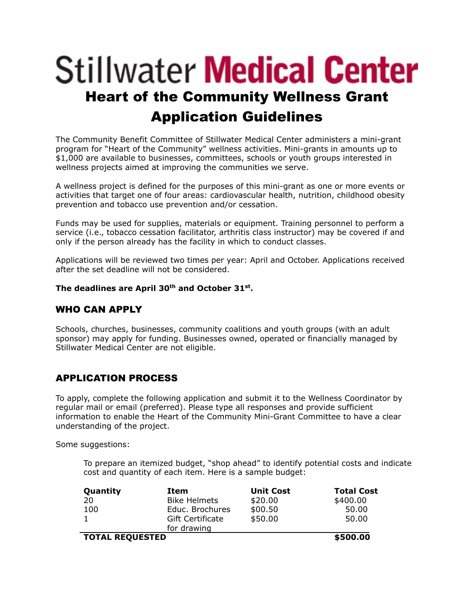## **Stillwater Medical Center** Heart of the Community Wellness Grant Application Guidelines

The Community Benefit Committee of Stillwater Medical Center administers a mini-grant program for "Heart of the Community" wellness activities. Mini-grants in amounts up to \$1,000 are available to businesses, committees, schools or youth groups interested in wellness projects aimed at improving the communities we serve.

A wellness project is defined for the purposes of this mini-grant as one or more events or activities that target one of four areas: cardiovascular health, nutrition, childhood obesity prevention and tobacco use prevention and/or cessation.

Funds may be used for supplies, materials or equipment. Training personnel to perform a service (i.e., tobacco cessation facilitator, arthritis class instructor) may be covered if and only if the person already has the facility in which to conduct classes.

Applications will be reviewed two times per year: April and October. Applications received after the set deadline will not be considered.

**The deadlines are April 30th and October 31st.** 

## WHO CAN APPLY

Schools, churches, businesses, community coalitions and youth groups (with an adult sponsor) may apply for funding. Businesses owned, operated or financially managed by Stillwater Medical Center are not eligible.

## APPLICATION PROCESS

To apply, complete the following application and submit it to the Wellness Coordinator by regular mail or email (preferred). Please type all responses and provide sufficient information to enable the Heart of the Community Mini-Grant Committee to have a clear understanding of the project.

Some suggestions:

To prepare an itemized budget, "shop ahead" to identify potential costs and indicate cost and quantity of each item. Here is a sample budget:

| Quantity               | Item                            | <b>Unit Cost</b> | <b>Total Cost</b> |
|------------------------|---------------------------------|------------------|-------------------|
| 20                     | <b>Bike Helmets</b>             | \$20.00          | \$400.00          |
| 100                    | Educ. Brochures                 | \$00.50          | 50.00             |
|                        | Gift Certificate<br>for drawing | \$50.00          | 50.00             |
| <b>TOTAL REQUESTED</b> |                                 |                  | \$500.00          |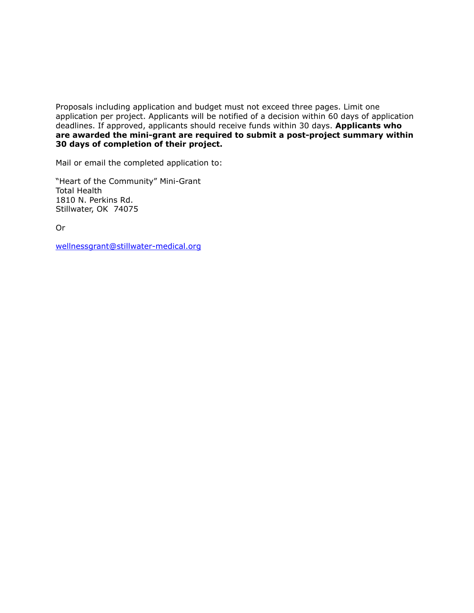Proposals including application and budget must not exceed three pages. Limit one application per project. Applicants will be notified of a decision within 60 days of application deadlines. If approved, applicants should receive funds within 30 days. **Applicants who are awarded the mini-grant are required to submit a post-project summary within 30 days of completion of their project.**

Mail or email the completed application to:

"Heart of the Community" Mini-Grant Total Health 1810 N. Perkins Rd. Stillwater, OK 74075

Or

[wellnessgrant@stillwater-medical.org](mailto:wellnessgrant@stillwater-medical.org?subject=)